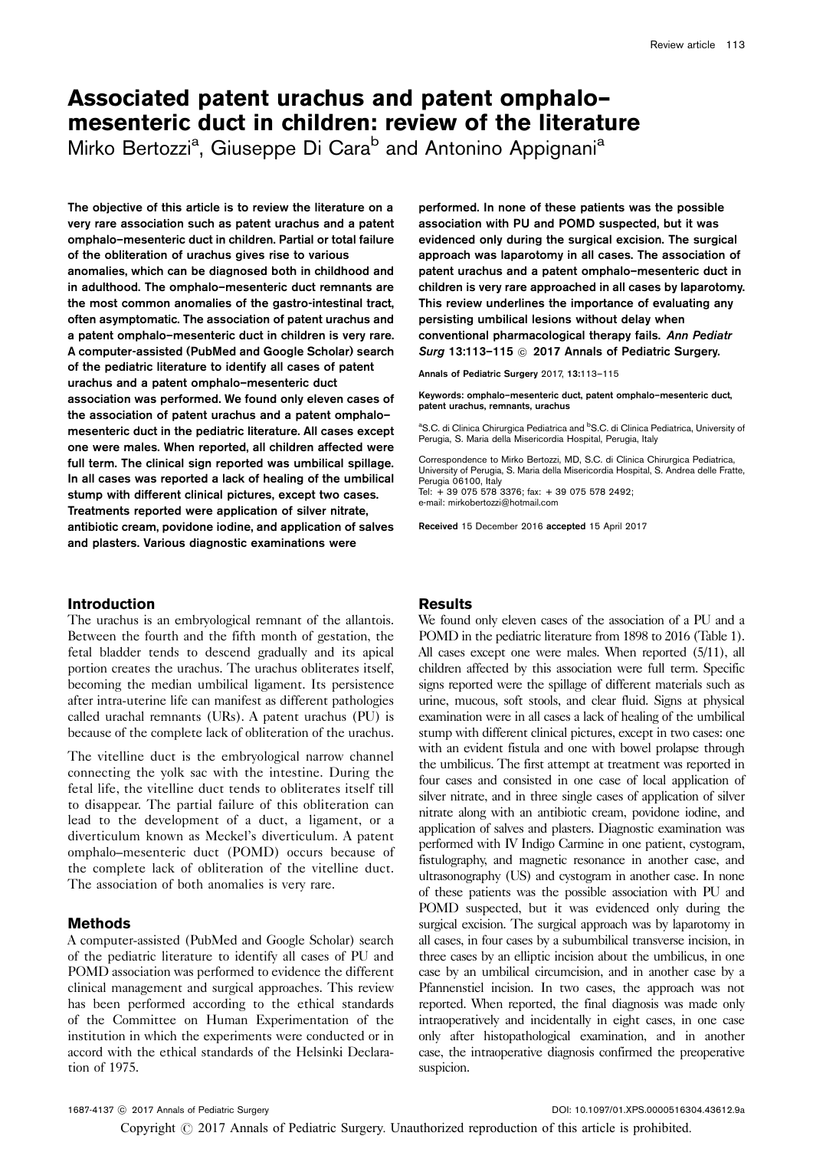# Associated patent urachus and patent omphalo– mesenteric duct in children: review of the literature

Mirko Bertozzi<sup>a</sup>, Giuseppe Di Cara<sup>b</sup> and Antonino Appignani<sup>a</sup>

The objective of this article is to review the literature on a very rare association such as patent urachus and a patent omphalo–mesenteric duct in children. Partial or total failure of the obliteration of urachus gives rise to various anomalies, which can be diagnosed both in childhood and in adulthood. The omphalo–mesenteric duct remnants are the most common anomalies of the gastro-intestinal tract, often asymptomatic. The association of patent urachus and a patent omphalo–mesenteric duct in children is very rare. A computer-assisted (PubMed and Google Scholar) search of the pediatric literature to identify all cases of patent urachus and a patent omphalo–mesenteric duct association was performed. We found only eleven cases of the association of patent urachus and a patent omphalo– mesenteric duct in the pediatric literature. All cases except one were males. When reported, all children affected were full term. The clinical sign reported was umbilical spillage. In all cases was reported a lack of healing of the umbilical stump with different clinical pictures, except two cases. Treatments reported were application of silver nitrate, antibiotic cream, povidone iodine, and application of salves and plasters. Various diagnostic examinations were

# Introduction

The urachus is an embryological remnant of the allantois. Between the fourth and the fifth month of gestation, the fetal bladder tends to descend gradually and its apical portion creates the urachus. The urachus obliterates itself, becoming the median umbilical ligament. Its persistence after intra-uterine life can manifest as different pathologies called urachal remnants (URs). A patent urachus (PU) is because of the complete lack of obliteration of the urachus.

The vitelline duct is the embryological narrow channel connecting the yolk sac with the intestine. During the fetal life, the vitelline duct tends to obliterates itself till to disappear. The partial failure of this obliteration can lead to the development of a duct, a ligament, or a diverticulum known as Meckel's diverticulum. A patent omphalo–mesenteric duct (POMD) occurs because of the complete lack of obliteration of the vitelline duct. The association of both anomalies is very rare.

# Methods

A computer-assisted (PubMed and Google Scholar) search of the pediatric literature to identify all cases of PU and POMD association was performed to evidence the different clinical management and surgical approaches. This review has been performed according to the ethical standards of the Committee on Human Experimentation of the institution in which the experiments were conducted or in accord with the ethical standards of the Helsinki Declaration of 1975.

performed. In none of these patients was the possible association with PU and POMD suspected, but it was evidenced only during the surgical excision. The surgical approach was laparotomy in all cases. The association of patent urachus and a patent omphalo–mesenteric duct in children is very rare approached in all cases by laparotomy. This review underlines the importance of evaluating any persisting umbilical lesions without delay when conventional pharmacological therapy fails. Ann Pediatr Surg 13:113-115 @ 2017 Annals of Pediatric Surgery.

Annals of Pediatric Surgery 2017, 13:113–115

Keywords: omphalo–mesenteric duct, patent omphalo–mesenteric duct, patent urachus, remnants, urachus

aS.C. di Clinica Chirurgica Pediatrica and <sup>b</sup>S.C. di Clinica Pediatrica, University of Perugia, S. Maria della Misericordia Hospital, Perugia, Italy

Correspondence to Mirko Bertozzi, MD, S.C. di Clinica Chirurgica Pediatrica, University of Perugia, S. Maria della Misericordia Hospital, S. Andrea delle Fratte, Perugia 06100, Italy Tel: + 39 075 578 3376; fax: + 39 075 578 2492; e-mail: [mirkobertozzi@hotmail.com](mailto:mirkobertozzi@hotmail.com)

Received 15 December 2016 accepted 15 April 2017

# **Results**

We found only eleven cases of the association of a PU and a POMD in the pediatric literature from 1898 to 2016 [\(Table 1\)](#page-1-0). All cases except one were males. When reported (5/11), all children affected by this association were full term. Specific signs reported were the spillage of different materials such as urine, mucous, soft stools, and clear fluid. Signs at physical examination were in all cases a lack of healing of the umbilical stump with different clinical pictures, except in two cases: one with an evident fistula and one with bowel prolapse through the umbilicus. The first attempt at treatment was reported in four cases and consisted in one case of local application of silver nitrate, and in three single cases of application of silver nitrate along with an antibiotic cream, povidone iodine, and application of salves and plasters. Diagnostic examination was performed with IV Indigo Carmine in one patient, cystogram, fistulography, and magnetic resonance in another case, and ultrasonography (US) and cystogram in another case. In none of these patients was the possible association with PU and POMD suspected, but it was evidenced only during the surgical excision. The surgical approach was by laparotomy in all cases, in four cases by a subumbilical transverse incision, in three cases by an elliptic incision about the umbilicus, in one case by an umbilical circumcision, and in another case by a Pfannenstiel incision. In two cases, the approach was not reported. When reported, the final diagnosis was made only intraoperatively and incidentally in eight cases, in one case only after histopathological examination, and in another case, the intraoperative diagnosis confirmed the preoperative suspicion.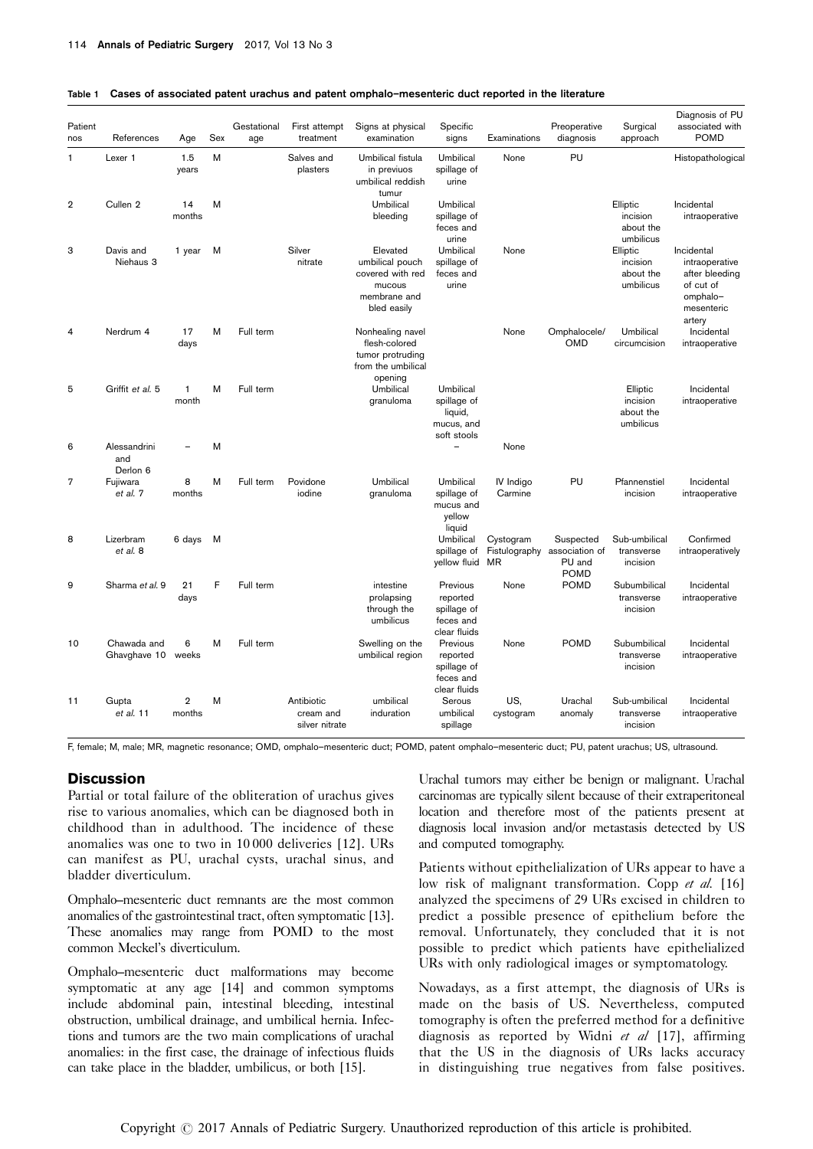| Patient<br>nos | References                      | Age                      | Sex | Gestational<br>age | First attempt<br>treatment                | Signs at physical<br>examination                                                         | Specific<br>signs                                                | Examinations                            | Preoperative<br>diagnosis                            | Surgical<br>approach                           | Diagnosis of PU<br>associated with<br><b>POMD</b>                                               |
|----------------|---------------------------------|--------------------------|-----|--------------------|-------------------------------------------|------------------------------------------------------------------------------------------|------------------------------------------------------------------|-----------------------------------------|------------------------------------------------------|------------------------------------------------|-------------------------------------------------------------------------------------------------|
| 1              | Lexer <sub>1</sub>              | 1.5<br>years             | M   |                    | Salves and<br>plasters                    | Umbilical fistula<br>in previuos<br>umbilical reddish<br>tumur                           | Umbilical<br>spillage of<br>urine                                | None                                    | PU                                                   |                                                | Histopathologica                                                                                |
| $\overline{2}$ | Cullen <sub>2</sub>             | 14<br>months             | M   |                    |                                           | <b>Umbilical</b><br>bleeding                                                             | Umbilical<br>spillage of<br>feces and<br>urine                   |                                         |                                                      | Elliptic<br>incision<br>about the<br>umbilicus | Incidental<br>intraoperative                                                                    |
| 3              | Davis and<br>Niehaus 3          | 1 year                   | M   |                    | Silver<br>nitrate                         | Elevated<br>umbilical pouch<br>covered with red<br>mucous<br>membrane and<br>bled easily | Umbilical<br>spillage of<br>feces and<br>urine                   | None                                    |                                                      | Elliptic<br>incision<br>about the<br>umbilicus | Incidental<br>intraoperative<br>after bleeding<br>of cut of<br>omphalo-<br>mesenteric<br>artery |
| 4              | Nerdrum 4                       | 17<br>days               | M   | Full term          |                                           | Nonhealing navel<br>flesh-colored<br>tumor protruding<br>from the umbilical<br>opening   |                                                                  | None                                    | Omphalocele/<br><b>OMD</b>                           | Umbilical<br>circumcision                      | Incidental<br>intraoperative                                                                    |
| 5              | Griffit et al. 5                | $\mathbf{1}$<br>month    | M   | Full term          |                                           | Umbilical<br>granuloma                                                                   | Umbilical<br>spillage of<br>liquid,<br>mucus, and<br>soft stools |                                         |                                                      | Elliptic<br>incision<br>about the<br>umbilicus | Incidental<br>intraoperative                                                                    |
| 6              | Alessandrini<br>and<br>Derlon 6 |                          | M   |                    |                                           |                                                                                          |                                                                  | None                                    |                                                      |                                                |                                                                                                 |
| 7              | Fujiwara<br>et al. 7            | 8<br>months              | M   | Full term          | Povidone<br>iodine                        | <b>Umbilical</b><br>granuloma                                                            | Umbilical<br>spillage of<br>mucus and<br>yellow<br>liquid        | IV Indigo<br>Carmine                    | PU                                                   | Pfannenstiel<br>incision                       | Incidental<br>intraoperative                                                                    |
| 8              | Lizerbram<br>et al. 8           | 6 days                   | M   |                    |                                           |                                                                                          | Umbilical<br>spillage of<br>yellow fluid                         | Cystogram<br>Fistulography<br><b>MR</b> | Suspected<br>association of<br>PU and<br><b>POMD</b> | Sub-umbilical<br>transverse<br>incision        | Confirmed<br>intraoperatively                                                                   |
| 9              | Sharma et al. 9                 | 21<br>days               | F   | Full term          |                                           | intestine<br>prolapsing<br>through the<br>umbilicus                                      | Previous<br>reported<br>spillage of<br>feces and<br>clear fluids | None                                    | <b>POMD</b>                                          | Subumbilical<br>transverse<br>incision         | Incidental<br>intraoperative                                                                    |
| 10             | Chawada and<br>Ghavghave 10     | 6<br>weeks               | M   | Full term          |                                           | Swelling on the<br>umbilical region                                                      | Previous<br>reported<br>spillage of<br>feces and<br>clear fluids | None                                    | POMD                                                 | Subumbilical<br>transverse<br>incision         | Incidental<br>intraoperative                                                                    |
| 11             | Gupta<br>et al. 11              | $\overline{2}$<br>months | M   |                    | Antibiotic<br>cream and<br>silver nitrate | umbilical<br>induration                                                                  | Serous<br>umbilical<br>spillage                                  | US,<br>cystogram                        | Urachal<br>anomaly                                   | Sub-umbilical<br>transverse<br>incision        | Incidental<br>intraoperative                                                                    |

#### <span id="page-1-0"></span>Table 1 Cases of associated patent urachus and patent omphalo–mesenteric duct reported in the literature

F, female; M, male; MR, magnetic resonance; OMD, omphalo–mesenteric duct; POMD, patent omphalo–mesenteric duct; PU, patent urachus; US, ultrasound.

# **Discussion**

Partial or total failure of the obliteration of urachus gives rise to various anomalies, which can be diagnosed both in childhood than in adulthood. The incidence of these anomalies was one to two in 10 000 deliveries [\[12\]](#page-2-0). URs can manifest as PU, urachal cysts, urachal sinus, and bladder diverticulum.

Omphalo–mesenteric duct remnants are the most common anomalies of the gastrointestinal tract, often symptomatic [\[13](#page-2-0)]. These anomalies may range from POMD to the most common Meckel's diverticulum.

Omphalo–mesenteric duct malformations may become symptomatic at any age [\[14](#page-2-0)] and common symptoms include abdominal pain, intestinal bleeding, intestinal obstruction, umbilical drainage, and umbilical hernia. Infections and tumors are the two main complications of urachal anomalies: in the first case, the drainage of infectious fluids can take place in the bladder, umbilicus, or both [\[15\]](#page-2-0).

Urachal tumors may either be benign or malignant. Urachal carcinomas are typically silent because of their extraperitoneal location and therefore most of the patients present at diagnosis local invasion and/or metastasis detected by US and computed tomography.

Patients without epithelialization of URs appear to have a low risk of malignant transformation. Copp et al. [\[16\]](#page-2-0) analyzed the specimens of 29 URs excised in children to predict a possible presence of epithelium before the removal. Unfortunately, they concluded that it is not possible to predict which patients have epithelialized URs with only radiological images or symptomatology.

Nowadays, as a first attempt, the diagnosis of URs is made on the basis of US. Nevertheless, computed tomography is often the preferred method for a definitive diagnosis as reported by Widni et al  $[17]$ , affirming that the US in the diagnosis of URs lacks accuracy in distinguishing true negatives from false positives.